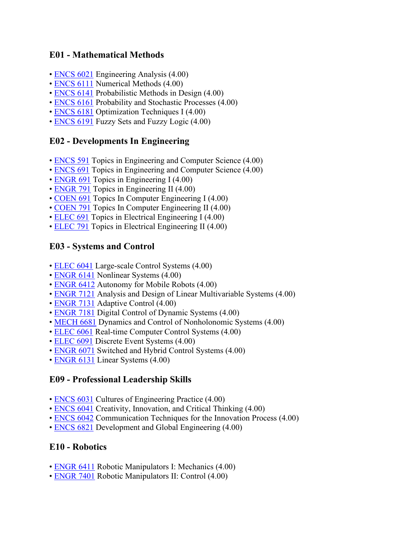### **E01 - Mathematical Methods**

- [ENCS 6021](https://www.concordia.ca/academics/graduate/calendar/current/gina-cody-school-of-engineering-and-computer-science-courses/engineering-and-computer-science-courses.html#13071) Engineering Analysis (4.00)
- [ENCS 6111](https://www.concordia.ca/academics/graduate/calendar/current/gina-cody-school-of-engineering-and-computer-science-courses/engineering-and-computer-science-courses.html#13077) Numerical Methods (4.00)
- [ENCS 6141](https://www.concordia.ca/academics/graduate/calendar/current/gina-cody-school-of-engineering-and-computer-science-courses/engineering-and-computer-science-courses.html#13078) Probabilistic Methods in Design (4.00)
- [ENCS 6161](https://www.concordia.ca/academics/graduate/calendar/current/gina-cody-school-of-engineering-and-computer-science-courses/engineering-and-computer-science-courses.html#13079) Probability and Stochastic Processes (4.00)
- **[ENCS 6181](https://www.concordia.ca/academics/graduate/calendar/current/gina-cody-school-of-engineering-and-computer-science-courses/engineering-and-computer-science-courses.html#13080)** Optimization Techniques I (4.00)
- [ENCS 6191](https://www.concordia.ca/academics/graduate/calendar/current/gina-cody-school-of-engineering-and-computer-science-courses/engineering-and-computer-science-courses.html#13081) Fuzzy Sets and Fuzzy Logic (4.00)

## **E02 - Developments In Engineering**

- [ENCS 591](https://www.concordia.ca/academics/graduate/calendar/current/gina-cody-school-of-engineering-and-computer-science-courses/engineering-and-computer-science-courses.html#18564) Topics in Engineering and Computer Science (4.00)
- [ENCS 691](https://www.concordia.ca/academics/graduate/calendar/current/gina-cody-school-of-engineering-and-computer-science-courses/engineering-and-computer-science-courses.html#13085) Topics in Engineering and Computer Science (4.00)
- [ENGR 691](https://www.concordia.ca/academics/graduate/calendar/current/gina-cody-school-of-engineering-and-computer-science-courses/engineering-and-computer-science-courses.html#13125) Topics in Engineering I (4.00)
- [ENGR 791](https://www.concordia.ca/academics/graduate/calendar/current/gina-cody-school-of-engineering-and-computer-science-courses/engineering-and-computer-science-courses.html#13142) Topics in Engineering II (4.00)
- [COEN 691](https://www.concordia.ca/academics/graduate/calendar/current/gina-cody-school-of-engineering-and-computer-science-courses/electrical-and-computer-engineering-courses.html#13009) Topics In Computer Engineering I (4.00)
- [COEN 791](https://www.concordia.ca/academics/graduate/calendar/current/gina-cody-school-of-engineering-and-computer-science-courses/electrical-and-computer-engineering-courses.html#13012) Topics In Computer Engineering II (4.00)
- [ELEC 691](https://www.concordia.ca/academics/graduate/calendar/current/gina-cody-school-of-engineering-and-computer-science-courses/electrical-and-computer-engineering-courses.html#13062) Topics in Electrical Engineering I (4.00)
- [ELEC 791](https://www.concordia.ca/academics/graduate/calendar/current/gina-cody-school-of-engineering-and-computer-science-courses/electrical-and-computer-engineering-courses.html#13067) Topics in Electrical Engineering II (4.00)

## **E03 - Systems and Control**

- [ELEC 6041](https://www.concordia.ca/academics/graduate/calendar/current/gina-cody-school-of-engineering-and-computer-science-courses/electrical-and-computer-engineering-courses.html#13013) Large-scale Control Systems (4.00)
- [ENGR 6141](https://www.concordia.ca/academics/graduate/calendar/current/gina-cody-school-of-engineering-and-computer-science-courses/engineering-and-computer-science-courses.html#13092) Nonlinear Systems (4.00)
- [ENGR 6412](https://www.concordia.ca/academics/graduate/calendar/current/gina-cody-school-of-engineering-and-computer-science-courses/engineering-and-computer-science-courses.html#13107) Autonomy for Mobile Robots (4.00)
- [ENGR 7121](https://www.concordia.ca/academics/graduate/calendar/current/gina-cody-school-of-engineering-and-computer-science-courses/engineering-and-computer-science-courses.html#13132) Analysis and Design of Linear Multivariable Systems (4.00)
- [ENGR 7131](https://www.concordia.ca/academics/graduate/calendar/current/gina-cody-school-of-engineering-and-computer-science-courses/engineering-and-computer-science-courses.html#13133) Adaptive Control (4.00)
- [ENGR 7181](https://www.concordia.ca/academics/graduate/calendar/current/gina-cody-school-of-engineering-and-computer-science-courses/engineering-and-computer-science-courses.html#13134) Digital Control of Dynamic Systems (4.00)
- [MECH 6681](https://www.concordia.ca/academics/graduate/calendar/current/gina-cody-school-of-engineering-and-computer-science-courses/mechanical-industrial-and-aerospace-engineering-courses.html#13268) Dynamics and Control of Nonholonomic Systems (4.00)
- [ELEC 6061](https://www.concordia.ca/academics/graduate/calendar/current/gina-cody-school-of-engineering-and-computer-science-courses/electrical-and-computer-engineering-courses.html#13015) Real-time Computer Control Systems (4.00)
- **[ELEC 6091](https://www.concordia.ca/academics/graduate/calendar/current/gina-cody-school-of-engineering-and-computer-science-courses/electrical-and-computer-engineering-courses.html#13018)** Discrete Event Systems (4.00)
- [ENGR 6071](https://www.concordia.ca/academics/graduate/calendar/current/gina-cody-school-of-engineering-and-computer-science-courses/engineering-and-computer-science-courses.html#13090) Switched and Hybrid Control Systems (4.00)
- [ENGR 6131](https://www.concordia.ca/academics/graduate/calendar/current/gina-cody-school-of-engineering-and-computer-science-courses/engineering-and-computer-science-courses.html#13091) Linear Systems (4.00)

## **E09 - Professional Leadership Skills**

- [ENCS 6031](https://www.concordia.ca/academics/graduate/calendar/current/gina-cody-school-of-engineering-and-computer-science-courses/engineering-and-computer-science-courses.html#13072) Cultures of Engineering Practice (4.00)
- [ENCS 6041](https://www.concordia.ca/academics/graduate/calendar/current/gina-cody-school-of-engineering-and-computer-science-courses/engineering-and-computer-science-courses.html#13073) Creativity, Innovation, and Critical Thinking (4.00)
- [ENCS 6042](https://www.concordia.ca/academics/graduate/calendar/current/gina-cody-school-of-engineering-and-computer-science-courses/engineering-and-computer-science-courses.html#13074) Communication Techniques for the Innovation Process (4.00)
- [ENCS 6821](https://www.concordia.ca/academics/graduate/calendar/current/gina-cody-school-of-engineering-and-computer-science-courses/engineering-and-computer-science-courses.html#13084) Development and Global Engineering (4.00)

## **E10 - Robotics**

- [ENGR 6411](https://www.concordia.ca/academics/graduate/calendar/current/gina-cody-school-of-engineering-and-computer-science-courses/engineering-and-computer-science-courses.html#13106) Robotic Manipulators I: Mechanics (4.00)
- [ENGR 7401](https://www.concordia.ca/academics/graduate/calendar/current/gina-cody-school-of-engineering-and-computer-science-courses/engineering-and-computer-science-courses.html#13137) Robotic Manipulators II: Control (4.00)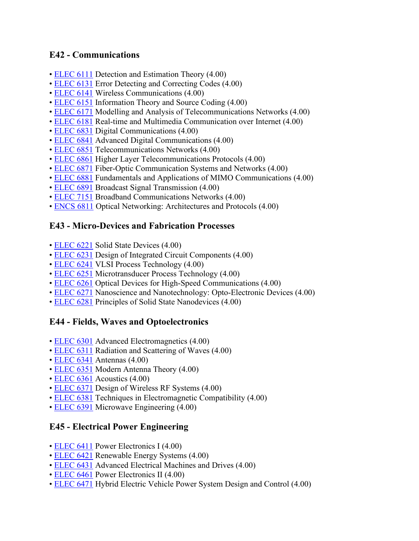## **E42 - Communications**

- [ELEC 6111](https://www.concordia.ca/academics/graduate/calendar/current/gina-cody-school-of-engineering-and-computer-science-courses/electrical-and-computer-engineering-courses.html#13019) Detection and Estimation Theory (4.00)
- [ELEC 6131](https://www.concordia.ca/academics/graduate/calendar/current/gina-cody-school-of-engineering-and-computer-science-courses/electrical-and-computer-engineering-courses.html#13020) Error Detecting and Correcting Codes (4.00)
- [ELEC 6141](https://www.concordia.ca/academics/graduate/calendar/current/gina-cody-school-of-engineering-and-computer-science-courses/electrical-and-computer-engineering-courses.html#13021) Wireless Communications (4.00)
- [ELEC 6151](https://www.concordia.ca/academics/graduate/calendar/current/gina-cody-school-of-engineering-and-computer-science-courses/electrical-and-computer-engineering-courses.html#13022) Information Theory and Source Coding (4.00)
- [ELEC 6171](https://www.concordia.ca/academics/graduate/calendar/current/gina-cody-school-of-engineering-and-computer-science-courses/electrical-and-computer-engineering-courses.html#13023) Modelling and Analysis of Telecommunications Networks (4.00)
- [ELEC 6181](https://www.concordia.ca/academics/graduate/calendar/current/gina-cody-school-of-engineering-and-computer-science-courses/electrical-and-computer-engineering-courses.html#13024) Real-time and Multimedia Communication over Internet (4.00)
- [ELEC 6831](https://www.concordia.ca/academics/graduate/calendar/current/gina-cody-school-of-engineering-and-computer-science-courses/electrical-and-computer-engineering-courses.html#13055) Digital Communications (4.00)
- [ELEC 6841](https://www.concordia.ca/academics/graduate/calendar/current/gina-cody-school-of-engineering-and-computer-science-courses/electrical-and-computer-engineering-courses.html#13056) Advanced Digital Communications (4.00)
- [ELEC 6851](https://www.concordia.ca/academics/graduate/calendar/current/gina-cody-school-of-engineering-and-computer-science-courses/electrical-and-computer-engineering-courses.html#13057) Telecommunications Networks (4.00)
- [ELEC 6861](https://www.concordia.ca/academics/graduate/calendar/current/gina-cody-school-of-engineering-and-computer-science-courses/electrical-and-computer-engineering-courses.html#13058) Higher Layer Telecommunications Protocols (4.00)
- [ELEC 6871](https://www.concordia.ca/academics/graduate/calendar/current/gina-cody-school-of-engineering-and-computer-science-courses/electrical-and-computer-engineering-courses.html#13059) Fiber-Optic Communication Systems and Networks (4.00)
- [ELEC 6881](https://www.concordia.ca/academics/graduate/calendar/current/gina-cody-school-of-engineering-and-computer-science-courses/electrical-and-computer-engineering-courses.html#13060) Fundamentals and Applications of MIMO Communications (4.00)
- [ELEC 6891](https://www.concordia.ca/academics/graduate/calendar/current/gina-cody-school-of-engineering-and-computer-science-courses/electrical-and-computer-engineering-courses.html#13061) Broadcast Signal Transmission (4.00)
- [ELEC 7151](https://www.concordia.ca/academics/graduate/calendar/current/gina-cody-school-of-engineering-and-computer-science-courses/electrical-and-computer-engineering-courses.html#13064) Broadband Communications Networks (4.00)
- [ENCS 6811](https://www.concordia.ca/academics/graduate/calendar/current/gina-cody-school-of-engineering-and-computer-science-courses/engineering-and-computer-science-courses.html#13083) Optical Networking: Architectures and Protocols (4.00)

## **E43 - Micro-Devices and Fabrication Processes**

- [ELEC 6221](https://www.concordia.ca/academics/graduate/calendar/current/gina-cody-school-of-engineering-and-computer-science-courses/electrical-and-computer-engineering-courses.html#13025) Solid State Devices (4.00)
- [ELEC 6231](https://www.concordia.ca/academics/graduate/calendar/current/gina-cody-school-of-engineering-and-computer-science-courses/electrical-and-computer-engineering-courses.html#13026) Design of Integrated Circuit Components (4.00)
- [ELEC 6241](https://www.concordia.ca/academics/graduate/calendar/current/gina-cody-school-of-engineering-and-computer-science-courses/electrical-and-computer-engineering-courses.html#13027) VLSI Process Technology (4.00)
- [ELEC 6251](https://www.concordia.ca/academics/graduate/calendar/current/gina-cody-school-of-engineering-and-computer-science-courses/electrical-and-computer-engineering-courses.html#13028) Microtransducer Process Technology (4.00)
- [ELEC 6261](https://www.concordia.ca/academics/graduate/calendar/current/gina-cody-school-of-engineering-and-computer-science-courses/electrical-and-computer-engineering-courses.html#13029) Optical Devices for High-Speed Communications (4.00)
- [ELEC 6271](https://www.concordia.ca/academics/graduate/calendar/current/gina-cody-school-of-engineering-and-computer-science-courses/electrical-and-computer-engineering-courses.html#13030) Nanoscience and Nanotechnology: Opto-Electronic Devices (4.00)
- [ELEC 6281](https://www.concordia.ca/academics/graduate/calendar/current/gina-cody-school-of-engineering-and-computer-science-courses/electrical-and-computer-engineering-courses.html#13031) Principles of Solid State Nanodevices (4.00)

## **E44 - Fields, Waves and Optoelectronics**

- [ELEC 6301](https://www.concordia.ca/academics/graduate/calendar/current/gina-cody-school-of-engineering-and-computer-science-courses/electrical-and-computer-engineering-courses.html#13032) Advanced Electromagnetics (4.00)
- [ELEC 6311](https://www.concordia.ca/academics/graduate/calendar/current/gina-cody-school-of-engineering-and-computer-science-courses/electrical-and-computer-engineering-courses.html#13033) Radiation and Scattering of Waves (4.00)
- [ELEC 6341](https://www.concordia.ca/academics/graduate/calendar/current/gina-cody-school-of-engineering-and-computer-science-courses/electrical-and-computer-engineering-courses.html#13034) Antennas (4.00)
- [ELEC 6351](https://www.concordia.ca/academics/graduate/calendar/current/gina-cody-school-of-engineering-and-computer-science-courses/electrical-and-computer-engineering-courses.html#13035) Modern Antenna Theory (4.00)
- [ELEC 6361](https://www.concordia.ca/academics/graduate/calendar/current/gina-cody-school-of-engineering-and-computer-science-courses/electrical-and-computer-engineering-courses.html#13036) Acoustics (4.00)
- [ELEC 6371](https://www.concordia.ca/academics/graduate/calendar/current/gina-cody-school-of-engineering-and-computer-science-courses/electrical-and-computer-engineering-courses.html#13037) Design of Wireless RF Systems (4.00)
- [ELEC 6381](https://www.concordia.ca/academics/graduate/calendar/current/gina-cody-school-of-engineering-and-computer-science-courses/electrical-and-computer-engineering-courses.html#13038) Techniques in Electromagnetic Compatibility (4.00)
- [ELEC 6391](https://www.concordia.ca/academics/graduate/calendar/current/gina-cody-school-of-engineering-and-computer-science-courses/electrical-and-computer-engineering-courses.html#13039) Microwave Engineering (4.00)

# **E45 - Electrical Power Engineering**

- [ELEC 6411](https://www.concordia.ca/academics/graduate/calendar/current/gina-cody-school-of-engineering-and-computer-science-courses/electrical-and-computer-engineering-courses.html#13040) Power Electronics I (4.00)
- [ELEC 6421](https://www.concordia.ca/academics/graduate/calendar/current/gina-cody-school-of-engineering-and-computer-science-courses/electrical-and-computer-engineering-courses.html#13041) Renewable Energy Systems (4.00)
- [ELEC 6431](https://www.concordia.ca/academics/graduate/calendar/current/gina-cody-school-of-engineering-and-computer-science-courses/electrical-and-computer-engineering-courses.html#13042) Advanced Electrical Machines and Drives (4.00)
- [ELEC 6461](https://www.concordia.ca/academics/graduate/calendar/current/gina-cody-school-of-engineering-and-computer-science-courses/electrical-and-computer-engineering-courses.html#13043) Power Electronics II (4.00)
- **[ELEC 6471](https://www.concordia.ca/academics/graduate/calendar/current/gina-cody-school-of-engineering-and-computer-science-courses/electrical-and-computer-engineering-courses.html#13044)** Hybrid Electric Vehicle Power System Design and Control (4.00)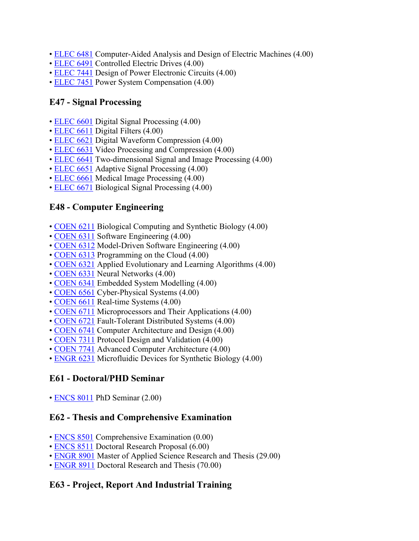- [ELEC 6481](https://www.concordia.ca/academics/graduate/calendar/current/gina-cody-school-of-engineering-and-computer-science-courses/electrical-and-computer-engineering-courses.html#13045) Computer-Aided Analysis and Design of Electric Machines (4.00)
- [ELEC 6491](https://www.concordia.ca/academics/graduate/calendar/current/gina-cody-school-of-engineering-and-computer-science-courses/electrical-and-computer-engineering-courses.html#13046) Controlled Electric Drives (4.00)
- [ELEC 7441](https://www.concordia.ca/academics/graduate/calendar/current/gina-cody-school-of-engineering-and-computer-science-courses/electrical-and-computer-engineering-courses.html#13065) Design of Power Electronic Circuits (4.00)
- [ELEC 7451](https://www.concordia.ca/academics/graduate/calendar/current/gina-cody-school-of-engineering-and-computer-science-courses/electrical-and-computer-engineering-courses.html#13066) Power System Compensation (4.00)

#### **E47 - Signal Processing**

- [ELEC 6601](https://www.concordia.ca/academics/graduate/calendar/current/gina-cody-school-of-engineering-and-computer-science-courses/electrical-and-computer-engineering-courses.html#13047) Digital Signal Processing (4.00)
- [ELEC 6611](https://www.concordia.ca/academics/graduate/calendar/current/gina-cody-school-of-engineering-and-computer-science-courses/electrical-and-computer-engineering-courses.html#13048) Digital Filters (4.00)
- [ELEC 6621](https://www.concordia.ca/academics/graduate/calendar/current/gina-cody-school-of-engineering-and-computer-science-courses/electrical-and-computer-engineering-courses.html#13049) Digital Waveform Compression (4.00)
- [ELEC 6631](https://www.concordia.ca/academics/graduate/calendar/current/gina-cody-school-of-engineering-and-computer-science-courses/electrical-and-computer-engineering-courses.html#13050) Video Processing and Compression (4.00)
- [ELEC 6641](https://www.concordia.ca/academics/graduate/calendar/current/gina-cody-school-of-engineering-and-computer-science-courses/electrical-and-computer-engineering-courses.html#13051) Two-dimensional Signal and Image Processing (4.00)
- [ELEC 6651](https://www.concordia.ca/academics/graduate/calendar/current/gina-cody-school-of-engineering-and-computer-science-courses/electrical-and-computer-engineering-courses.html#13052) Adaptive Signal Processing (4.00)
- [ELEC 6661](https://www.concordia.ca/academics/graduate/calendar/current/gina-cody-school-of-engineering-and-computer-science-courses/electrical-and-computer-engineering-courses.html#13053) Medical Image Processing (4.00)
- [ELEC 6671](https://www.concordia.ca/academics/graduate/calendar/current/gina-cody-school-of-engineering-and-computer-science-courses/electrical-and-computer-engineering-courses.html#13054) Biological Signal Processing (4.00)

### **E48 - Computer Engineering**

- [COEN 6211](https://www.concordia.ca/academics/graduate/calendar/current/gina-cody-school-of-engineering-and-computer-science-courses/electrical-and-computer-engineering-courses.html#12992) Biological Computing and Synthetic Biology (4.00)
- [COEN 6311](https://www.concordia.ca/academics/graduate/calendar/current/gina-cody-school-of-engineering-and-computer-science-courses/electrical-and-computer-engineering-courses.html#12993) Software Engineering (4.00)
- [COEN 6312](https://www.concordia.ca/academics/graduate/calendar/current/gina-cody-school-of-engineering-and-computer-science-courses/electrical-and-computer-engineering-courses.html#12994) Model-Driven Software Engineering (4.00)
- [COEN 6313](https://www.concordia.ca/academics/graduate/calendar/current/gina-cody-school-of-engineering-and-computer-science-courses/electrical-and-computer-engineering-courses.html#12995) Programming on the Cloud (4.00)
- [COEN 6321](https://www.concordia.ca/academics/graduate/calendar/current/gina-cody-school-of-engineering-and-computer-science-courses/electrical-and-computer-engineering-courses.html#12996) Applied Evolutionary and Learning Algorithms (4.00)
- [COEN 6331](https://www.concordia.ca/academics/graduate/calendar/current/gina-cody-school-of-engineering-and-computer-science-courses/electrical-and-computer-engineering-courses.html#12997) Neural Networks (4.00)
- [COEN 6341](https://www.concordia.ca/academics/graduate/calendar/current/gina-cody-school-of-engineering-and-computer-science-courses/electrical-and-computer-engineering-courses.html#12998) Embedded System Modelling (4.00)
- [COEN 6561](https://www.concordia.ca/academics/graduate/calendar/current/gina-cody-school-of-engineering-and-computer-science-courses/electrical-and-computer-engineering-courses.html#15965) Cyber-Physical Systems (4.00)
- [COEN 6611](https://www.concordia.ca/academics/graduate/calendar/current/gina-cody-school-of-engineering-and-computer-science-courses/electrical-and-computer-engineering-courses.html#13005) Real-time Systems (4.00)
- [COEN 6711](https://www.concordia.ca/academics/graduate/calendar/current/gina-cody-school-of-engineering-and-computer-science-courses/electrical-and-computer-engineering-courses.html#13006) Microprocessors and Their Applications (4.00)
- [COEN 6721](https://www.concordia.ca/academics/graduate/calendar/current/gina-cody-school-of-engineering-and-computer-science-courses/electrical-and-computer-engineering-courses.html#13007) Fault-Tolerant Distributed Systems (4.00)
- [COEN 6741](https://www.concordia.ca/academics/graduate/calendar/current/gina-cody-school-of-engineering-and-computer-science-courses/electrical-and-computer-engineering-courses.html#13008) Computer Architecture and Design (4.00)
- [COEN 7311](https://www.concordia.ca/academics/graduate/calendar/current/gina-cody-school-of-engineering-and-computer-science-courses/electrical-and-computer-engineering-courses.html#13010) Protocol Design and Validation (4.00)
- [COEN 7741](https://www.concordia.ca/academics/graduate/calendar/current/gina-cody-school-of-engineering-and-computer-science-courses/electrical-and-computer-engineering-courses.html#13011) Advanced Computer Architecture (4.00)
- [ENGR 6231](https://www.concordia.ca/academics/graduate/calendar/current/gina-cody-school-of-engineering-and-computer-science-courses/engineering-and-computer-science-courses.html#13097) Microfluidic Devices for Synthetic Biology (4.00)

### **E61 - Doctoral/PHD Seminar**

• [ENCS 8011](https://www.concordia.ca/academics/graduate/calendar/current/gina-cody-school-of-engineering-and-computer-science-courses/engineering-and-computer-science-courses.html#13087) PhD Seminar (2.00)

### **E62 - Thesis and Comprehensive Examination**

- [ENCS 8501](https://www.concordia.ca/academics/graduate/calendar/current/gina-cody-school-of-engineering-and-computer-science-courses/engineering-and-computer-science-courses.html#13088) Comprehensive Examination (0.00)
- [ENCS 8511](https://www.concordia.ca/academics/graduate/calendar/current/gina-cody-school-of-engineering-and-computer-science-courses/engineering-and-computer-science-courses.html#13089) Doctoral Research Proposal (6.00)
- [ENGR 8901](https://www.concordia.ca/academics/graduate/calendar/current/gina-cody-school-of-engineering-and-computer-science-courses/engineering-and-computer-science-courses.html#13144) Master of Applied Science Research and Thesis (29.00)
- [ENGR 8911](https://www.concordia.ca/academics/graduate/calendar/current/gina-cody-school-of-engineering-and-computer-science-courses/engineering-and-computer-science-courses.html#13145) Doctoral Research and Thesis (70.00)

### **E63 - Project, Report And Industrial Training**